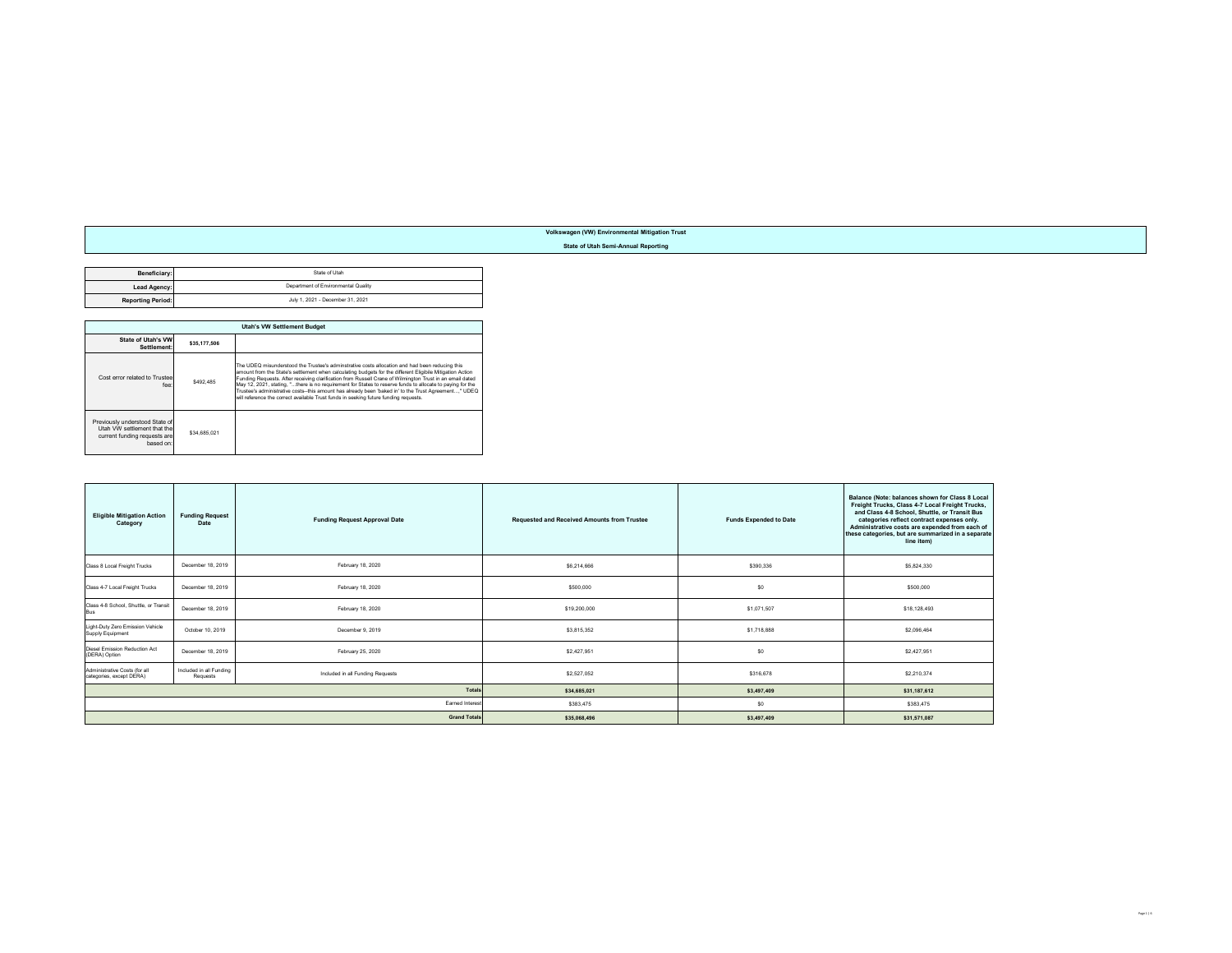## **Volkswagen (VW) Environmental Mitigation Trust**

## **State of Utah Semi-Annual Reporting**

| Beneficiary:             | State of Utah                       |
|--------------------------|-------------------------------------|
| Lead Agency:             | Department of Environmental Quality |
| <b>Reporting Period:</b> | July 1, 2021 - December 31, 2021    |

|                                                                                                            | <b>Utah's VW Settlement Budget</b> |                                                                                                                                                                                                                                                                                                                                                                                                                                                                                                                                                                                                                                      |  |  |  |  |
|------------------------------------------------------------------------------------------------------------|------------------------------------|--------------------------------------------------------------------------------------------------------------------------------------------------------------------------------------------------------------------------------------------------------------------------------------------------------------------------------------------------------------------------------------------------------------------------------------------------------------------------------------------------------------------------------------------------------------------------------------------------------------------------------------|--|--|--|--|
| State of Utah's VW<br>Settlement:                                                                          | \$35,177,506                       |                                                                                                                                                                                                                                                                                                                                                                                                                                                                                                                                                                                                                                      |  |  |  |  |
| Cost error related to Trustee<br>fee:                                                                      | \$492.485                          | The UDEQ misunderstood the Trustee's adminstrative costs allocation and had been reducing this<br>amount from the State's settlement when calculating budgets for the different Eligibile Mitigation Action<br>Funding Requests. After receiving clarification from Russell Crane of Wilmington Trust in an email dated<br>May 12, 2021, stating. "there is no requirement for States to reserve funds to allocate to paying for the<br>Trustee's administrative costs--this amount has already been 'baked in' to the Trust Agreement" UDEQ<br>will reference the correct available Trust funds in seeking future funding requests. |  |  |  |  |
| Previously understood State of<br>Utah VW settlement that the<br>current funding requests are<br>hased on: | \$34.685.021                       |                                                                                                                                                                                                                                                                                                                                                                                                                                                                                                                                                                                                                                      |  |  |  |  |

| <b>Eligible Mitigation Action</b><br>Category             | <b>Funding Request</b><br>Date      | <b>Funding Request Approval Date</b> | <b>Requested and Received Amounts from Trustee</b> | <b>Funds Expended to Date</b> | Balance (Note: balances shown for Class 8 Local<br>Freight Trucks, Class 4-7 Local Freight Trucks,<br>and Class 4-8 School, Shuttle, or Transit Bus<br>categories reflect contract expenses only.<br>Administrative costs are expended from each of<br>these categories, but are summarized in a separate<br>line item) |
|-----------------------------------------------------------|-------------------------------------|--------------------------------------|----------------------------------------------------|-------------------------------|-------------------------------------------------------------------------------------------------------------------------------------------------------------------------------------------------------------------------------------------------------------------------------------------------------------------------|
| Class 8 Local Freight Trucks                              | December 18, 2019                   | February 18, 2020                    | \$6,214,666                                        | \$390,336                     | \$5,824,330                                                                                                                                                                                                                                                                                                             |
| Class 4-7 Local Freight Trucks                            | December 18, 2019                   | February 18, 2020                    | \$500,000                                          | \$0                           | \$500,000                                                                                                                                                                                                                                                                                                               |
| Class 4-8 School, Shuttle, or Transit<br>Bus              | December 18, 2019                   | February 18, 2020                    | \$19,200,000                                       | \$1,071,507                   | \$18,128,493                                                                                                                                                                                                                                                                                                            |
| Light-Duty Zero Emission Vehicle<br>Supply Equipment      | October 10, 2019                    | December 9, 2019                     | \$3,815,352                                        | \$1,718,888                   | \$2,096,464                                                                                                                                                                                                                                                                                                             |
| Diesel Emission Reduction Act<br>(DERA) Option            | December 18, 2019                   | February 25, 2020                    | \$2,427.951                                        | \$0                           | \$2,427.951                                                                                                                                                                                                                                                                                                             |
| Administrative Costs (for all<br>categories, except DERA) | Included in all Funding<br>Requests | Included in all Funding Requests     | \$2,527,052                                        | \$316,678                     | \$2,210,374                                                                                                                                                                                                                                                                                                             |
|                                                           |                                     | <b>Totals</b>                        | \$34,685,021                                       | \$3,497,409                   | \$31,187,612                                                                                                                                                                                                                                                                                                            |
|                                                           |                                     | Earned Interes                       | \$383,475                                          | \$0                           | \$383,475                                                                                                                                                                                                                                                                                                               |
|                                                           |                                     | <b>Grand Totals</b>                  | \$35,068,496                                       | \$3,497,409                   | \$31,571,087                                                                                                                                                                                                                                                                                                            |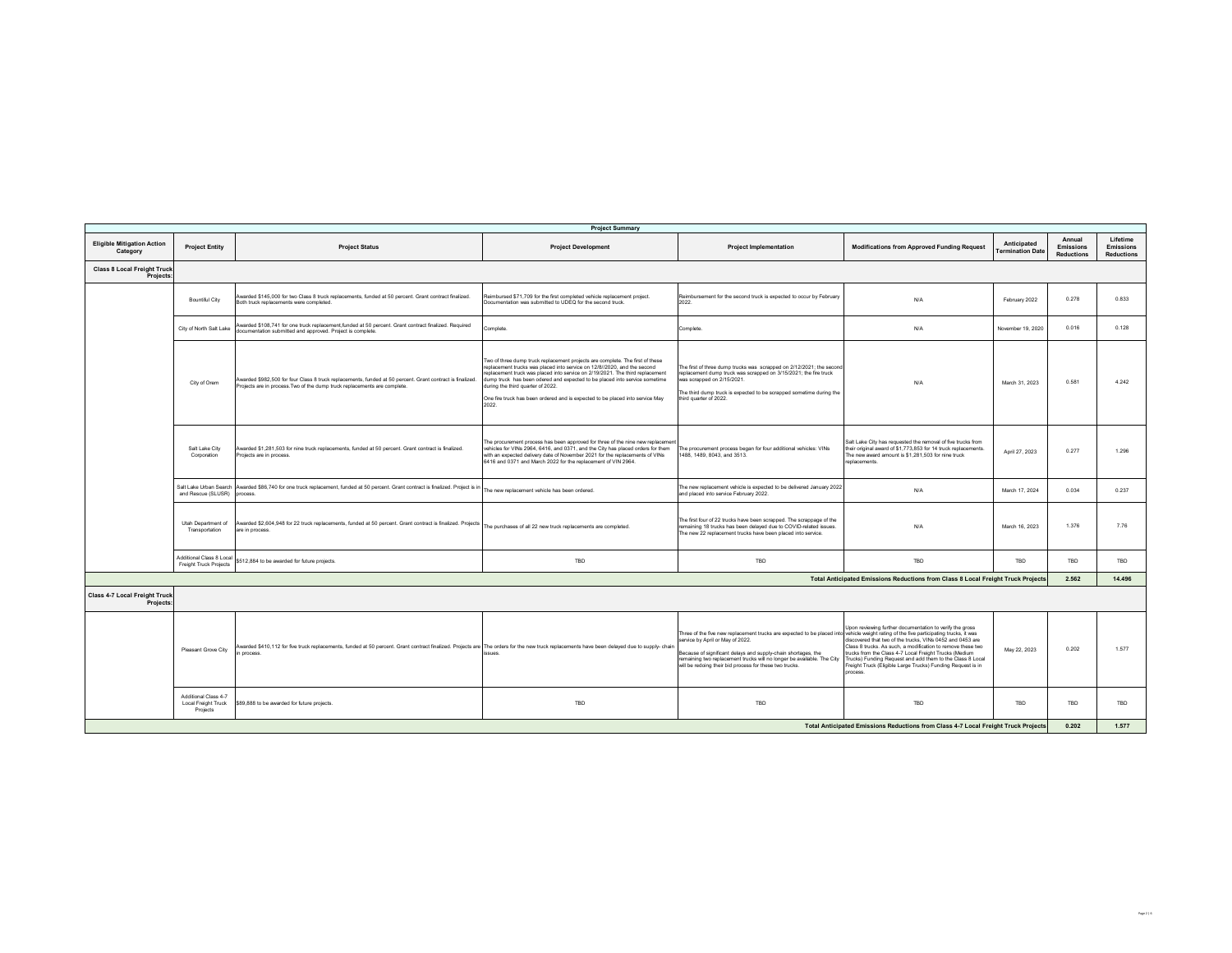| <b>Project Summary</b>                            |                                                         |                                                                                                                                                                                                            |                                                                                                                                                                                                                                                                                                                                                                                                                                                         |                                                                                                                                                                                                                                                                                                                                                                                  |                                                                                                                                                                                                                                                                                                                                                                                       |                                        |                                                 |                                                   |  |
|---------------------------------------------------|---------------------------------------------------------|------------------------------------------------------------------------------------------------------------------------------------------------------------------------------------------------------------|---------------------------------------------------------------------------------------------------------------------------------------------------------------------------------------------------------------------------------------------------------------------------------------------------------------------------------------------------------------------------------------------------------------------------------------------------------|----------------------------------------------------------------------------------------------------------------------------------------------------------------------------------------------------------------------------------------------------------------------------------------------------------------------------------------------------------------------------------|---------------------------------------------------------------------------------------------------------------------------------------------------------------------------------------------------------------------------------------------------------------------------------------------------------------------------------------------------------------------------------------|----------------------------------------|-------------------------------------------------|---------------------------------------------------|--|
| <b>Eligible Mitigation Action</b><br>Category     | <b>Project Entity</b>                                   | <b>Project Status</b>                                                                                                                                                                                      | <b>Project Development</b>                                                                                                                                                                                                                                                                                                                                                                                                                              | <b>Project Implementation</b>                                                                                                                                                                                                                                                                                                                                                    | <b>Modifications from Approved Funding Request</b>                                                                                                                                                                                                                                                                                                                                    | Anticipated<br><b>Termination Date</b> | Annual<br><b>Emissions</b><br><b>Reductions</b> | Lifetime<br><b>Emissions</b><br><b>Reductions</b> |  |
| <b>Class 8 Local Freight Truck</b><br>Projects:   |                                                         |                                                                                                                                                                                                            |                                                                                                                                                                                                                                                                                                                                                                                                                                                         |                                                                                                                                                                                                                                                                                                                                                                                  |                                                                                                                                                                                                                                                                                                                                                                                       |                                        |                                                 |                                                   |  |
|                                                   | Bountiful City                                          | Awarded \$145,000 for two Class 8 truck replacements, funded at 50 percent. Grant contract finalized.<br>Both truck replacements were completed.                                                           | Reimbursed \$71,709 for the first completed vehicle replacement project.<br>Documentation was submitted to UDEQ for the second truck.                                                                                                                                                                                                                                                                                                                   | Reimbursement for the second truck is expected to occur by February<br>2022.                                                                                                                                                                                                                                                                                                     | N/A                                                                                                                                                                                                                                                                                                                                                                                   | February 2022                          | 0.278                                           | 0.833                                             |  |
|                                                   | City of North Salt Lake                                 | Awarded \$108,741 for one truck replacement,funded at 50 percent. Grant contract finalized. Required<br>documentation submitted and approved. Project is complete.                                         | Complete.                                                                                                                                                                                                                                                                                                                                                                                                                                               | Complete.                                                                                                                                                                                                                                                                                                                                                                        | N/A                                                                                                                                                                                                                                                                                                                                                                                   | November 19, 2020                      | 0.016                                           | 0.128                                             |  |
|                                                   | City of Orem                                            | Awarded \$982,500 for four Class 8 truck replacements, funded at 50 percent. Grant contract is finalized.<br>Projects are in process. Two of the dump truck replacements are complete.                     | Two of three dump truck replacement projects are complete. The first of these<br>replacement trucks was placed into service on 12/8//2020, and the second<br>replacement truck was placed into service on 2/19/2021. The third replacement<br>dump truck has been odered and expected to be placed into service sometime<br>during the third quarter of 2022.<br>One fire truck has been ordered and is expected to be placed into service May<br>2022. | The first of three dump trucks was scrapped on 2/12/2021; the second<br>replacement dump truck was scrapped on 3/15/2021; the fire truck<br>was scrapped on 2/15/2021.<br>The third dump truck is expected to be scrapped sometime during the<br>third quarter of 2022.                                                                                                          | N/A                                                                                                                                                                                                                                                                                                                                                                                   | March 31, 2023                         | 0.581                                           | 4.242                                             |  |
|                                                   | Salt Lake City<br>Corporation                           | Awarded \$1,281,503 for nine truck replacements, funded at 50 percent. Grant contract is finalized.<br>Projects are in process.                                                                            | The procurement process has been approved for three of the nine new replacement<br>vehicles for VINs 2964, 6416, and 0371, and the City has placed orders for them<br>with an expected delivery date of November 2021 for the replacements of VINs<br>6416 and 0371 and March 2022 for the replacement of VIN 2964.                                                                                                                                     | The procurement process began for four additional vehicles: VINs<br>1488, 1489, 8043, and 3513.                                                                                                                                                                                                                                                                                  | Salt Lake City has requested the removal of five trucks from<br>their original award of \$1,773,853 for 14 truck replacements.<br>The new award amount is \$1,281,503 for nine truck<br>replacements.                                                                                                                                                                                 | April 27, 2023                         | 0.277                                           | 1.296                                             |  |
|                                                   | and Rescue (SLUSR)                                      | Salt Lake Urban Search Awarded \$86,740 for one truck replacement, funded at 50 percent. Grant contract is finalized. Project is in The new replacement vehicle has been ordered.<br>process.              |                                                                                                                                                                                                                                                                                                                                                                                                                                                         | The new replacement vehicle is expected to be delivered January 2022<br>and placed into service February 2022.                                                                                                                                                                                                                                                                   | N/A                                                                                                                                                                                                                                                                                                                                                                                   | March 17, 2024                         | 0.034                                           | 0.237                                             |  |
|                                                   | Utah Department of<br>Transportation                    | Awarded \$2,604,948 for 22 truck replacements, funded at 50 percent. Grant contract is finalized. Projects<br>are in process.                                                                              | The purchases of all 22 new truck replacements are completed.                                                                                                                                                                                                                                                                                                                                                                                           | The first four of 22 trucks have been scrapped. The scrappage of the<br>remaining 18 trucks has been delayed due to COVID-related issues.<br>The new 22 replacement trucks have been placed into service.                                                                                                                                                                        | N/A                                                                                                                                                                                                                                                                                                                                                                                   | March 16, 2023                         | 1.376                                           | 7.76                                              |  |
|                                                   | Additional Class 8 Local<br>Freight Truck Projects      | \$512,884 to be awarded for future projects.                                                                                                                                                               | TBD                                                                                                                                                                                                                                                                                                                                                                                                                                                     | <b>TBD</b>                                                                                                                                                                                                                                                                                                                                                                       | TBD                                                                                                                                                                                                                                                                                                                                                                                   | TBD                                    | <b>TBD</b>                                      | TBD                                               |  |
|                                                   |                                                         |                                                                                                                                                                                                            |                                                                                                                                                                                                                                                                                                                                                                                                                                                         |                                                                                                                                                                                                                                                                                                                                                                                  | Total Anticipated Emissions Reductions from Class 8 Local Freight Truck Projects                                                                                                                                                                                                                                                                                                      |                                        | 2.562                                           | 14,496                                            |  |
| <b>Class 4-7 Local Freight Truck</b><br>Projects: |                                                         |                                                                                                                                                                                                            |                                                                                                                                                                                                                                                                                                                                                                                                                                                         |                                                                                                                                                                                                                                                                                                                                                                                  |                                                                                                                                                                                                                                                                                                                                                                                       |                                        |                                                 |                                                   |  |
|                                                   | Pleasant Grove City                                     | Awarded \$410,112 for five truck replacements, funded at 50 percent. Grant contract finalized. Projects are The orders for the new truck replacements have been delayed due to supply- chain<br>n process. | issues.                                                                                                                                                                                                                                                                                                                                                                                                                                                 | Three of the five new replacement trucks are expected to be placed into vehicle weight rating of the five participating trucks, it was<br>service by April or May of 2022.<br>Because of significant delays and supply-chain shortages, the<br>remaining two replacement trucks will no longer be available. The City<br>will be redoing their bid process for these two trucks. | Upon reviewing further documentation to verify the gross<br>discovered that two of the trucks. VINs 0452 and 0453 are<br>Class 8 trucks. As such, a modification to remove these two<br>trucks from the Class 4-7 Local Freight Trucks (Medium<br>Trucks) Funding Request and add them to the Class 8 Local<br>reight Truck (Eligible Large Trucks) Funding Request is in<br>process. | May 22, 2023                           | 0.202                                           | 1.577                                             |  |
|                                                   | Additional Class 4-7<br>Local Freight Truck<br>Projects | \$89,888 to be awarded for future projects.                                                                                                                                                                | TBD                                                                                                                                                                                                                                                                                                                                                                                                                                                     | <b>TBD</b>                                                                                                                                                                                                                                                                                                                                                                       | TBD                                                                                                                                                                                                                                                                                                                                                                                   | TRD                                    | <b>TBD</b>                                      | TBD                                               |  |
|                                                   |                                                         |                                                                                                                                                                                                            |                                                                                                                                                                                                                                                                                                                                                                                                                                                         |                                                                                                                                                                                                                                                                                                                                                                                  | Total Anticipated Emissions Reductions from Class 4-7 Local Freight Truck Projects                                                                                                                                                                                                                                                                                                    |                                        | 0.202                                           | 1.577                                             |  |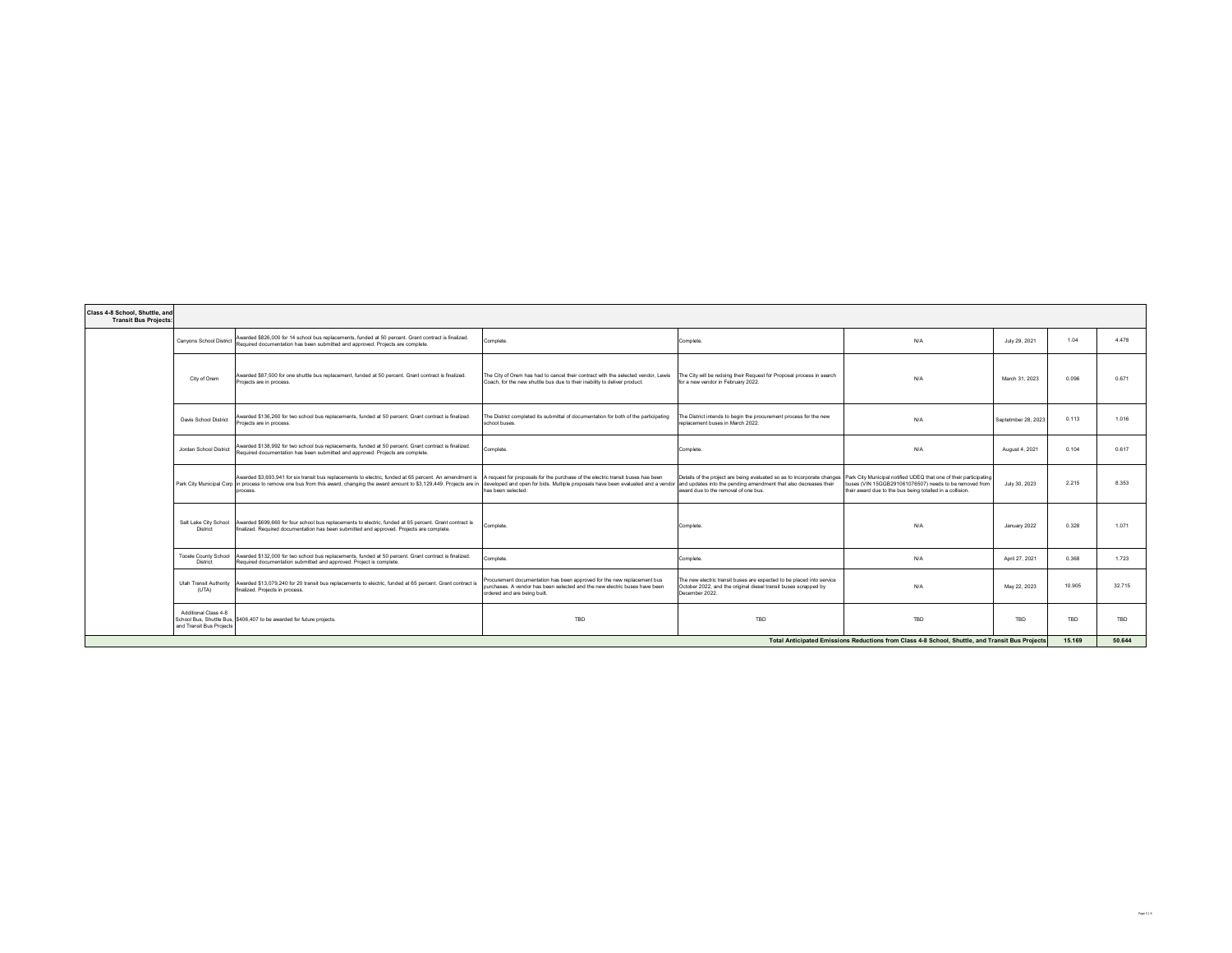| Class 4-8 School, Shuttle, and<br><b>Transit Bus Projects:</b>                                  |                                                  |                                                                                                                                                                                                                                                                                                                                                                                                                                          |                                                                                                                                                                                       |                                                                                                                                                                                   |                                                                                                                     |                     |            |        |
|-------------------------------------------------------------------------------------------------|--------------------------------------------------|------------------------------------------------------------------------------------------------------------------------------------------------------------------------------------------------------------------------------------------------------------------------------------------------------------------------------------------------------------------------------------------------------------------------------------------|---------------------------------------------------------------------------------------------------------------------------------------------------------------------------------------|-----------------------------------------------------------------------------------------------------------------------------------------------------------------------------------|---------------------------------------------------------------------------------------------------------------------|---------------------|------------|--------|
|                                                                                                 | Canvons School District                          | Awarded \$826,000 for 14 school bus replacements, funded at 50 percent. Grant contract is finalized.<br>Required documentation has been submitted and approved. Projects are complete.                                                                                                                                                                                                                                                   | Complete.                                                                                                                                                                             | Complete.                                                                                                                                                                         | N/A                                                                                                                 | July 29, 2021       | 1.04       | 4.478  |
|                                                                                                 | City of Orem                                     | Awarded \$87,500 for one shuttle bus replacement, funded at 50 percent. Grant contract is finalized.<br>Projects are in process.                                                                                                                                                                                                                                                                                                         | The City of Orem has had to cancel their contract with the selected vendor, Lewis<br>Coach, for the new shuttle bus due to their inability to deliver product.                        | The City will be redoing their Request for Proposal process in search<br>for a new vendor in February 2022.                                                                       | N/A                                                                                                                 | March 31, 2023      | 0.096      | 0.671  |
|                                                                                                 | Davis School District                            | Awarded \$136,260 for two school bus replacements, funded at 50 percent. Grant contract is finalized.<br>Projects are in process.                                                                                                                                                                                                                                                                                                        | The District completed its submittal of documentation for both of the participating<br>school buses.                                                                                  | The District intends to begin the procurement process for the new<br>replacement buses in March 2022.                                                                             | N/A                                                                                                                 | Septetmber 28, 2023 | 0.113      | 1.016  |
|                                                                                                 | Jordan School District                           | Awarded \$138,992 for two school bus replacements, funded at 50 percent. Grant contract is finalized.<br>Required documentation has been submitted and approved. Projects are complete.                                                                                                                                                                                                                                                  | Complete.                                                                                                                                                                             | Complete.                                                                                                                                                                         | N/A                                                                                                                 | August 4, 2021      | 0.104      | 0.617  |
|                                                                                                 |                                                  | Awarded \$3,693,941 for six transit bus replacements to electric, funded at 65 percent. An amendment is   A request for proposals for the purchase of the electric transit buses has been<br>Park City Municipal Corp in process to remove one bus from this award, changing the award amount to \$3,129,449. Projects are in developed and open for bids. Multiple proposals have been evaluated and a vendor and updates i<br>process. | has been selected.                                                                                                                                                                    | Details of the project are being evaluated so as to incorporate changes Park City Municipal notified UDEQ that one of their participating<br>award due to the removal of one bus. | buses (VIN 15GGB291061076507) needs to be removed from<br>their award due to the bus being totalled in a collision. | July 30, 2023       | 2.215      | 8.353  |
|                                                                                                 | District                                         | Salt Lake City School Awarded \$699,660 for four school bus replacements to electric, funded at 65 percent. Grant contract is<br>finalized. Required documentation has been submitted and approved. Projects are complete.                                                                                                                                                                                                               | Complete.                                                                                                                                                                             | Complete.                                                                                                                                                                         | N/A                                                                                                                 | January 2022        | 0.328      | 1.071  |
|                                                                                                 | Tooele County School<br><b>District</b>          | Awarded \$132,000 for two school bus replacements, funded at 50 percent. Grant contract is finalized.<br>Required documentation submitted and approved. Project is complete.                                                                                                                                                                                                                                                             | Complete.                                                                                                                                                                             | Complete.                                                                                                                                                                         | N/A                                                                                                                 | April 27, 2021      | 0.368      | 1.723  |
|                                                                                                 | Utah Transit Authority<br>(UTA)                  | Awarded \$13,079,240 for 20 transit bus replacements to electric, funded at 65 percent. Grant contract is<br>finalized. Projects in process.                                                                                                                                                                                                                                                                                             | Procurement documentation has been approved for the new replacement bus<br>purchases. A vendor has been selected and the new electric buses have been<br>ordered and are being built. | The new electric transit buses are expected to be placed into service<br>October 2022, and the original diesel transit buses scrapped by<br>December 2022.                        | N/A                                                                                                                 | May 22, 2023        | 10.905     | 32.715 |
|                                                                                                 | Additional Class 4-8<br>and Transit Bus Projects | School Bus, Shuttle Bus, \$406,407 to be awarded for future projects.                                                                                                                                                                                                                                                                                                                                                                    | <b>TBD</b>                                                                                                                                                                            | <b>TBD</b>                                                                                                                                                                        | <b>TBD</b>                                                                                                          | <b>TBD</b>          | <b>TRD</b> | TBD    |
| Total Anticipated Emissions Reductions from Class 4-8 School, Shuttle, and Transit Bus Projects |                                                  |                                                                                                                                                                                                                                                                                                                                                                                                                                          |                                                                                                                                                                                       |                                                                                                                                                                                   |                                                                                                                     | 15,169              | 50.644     |        |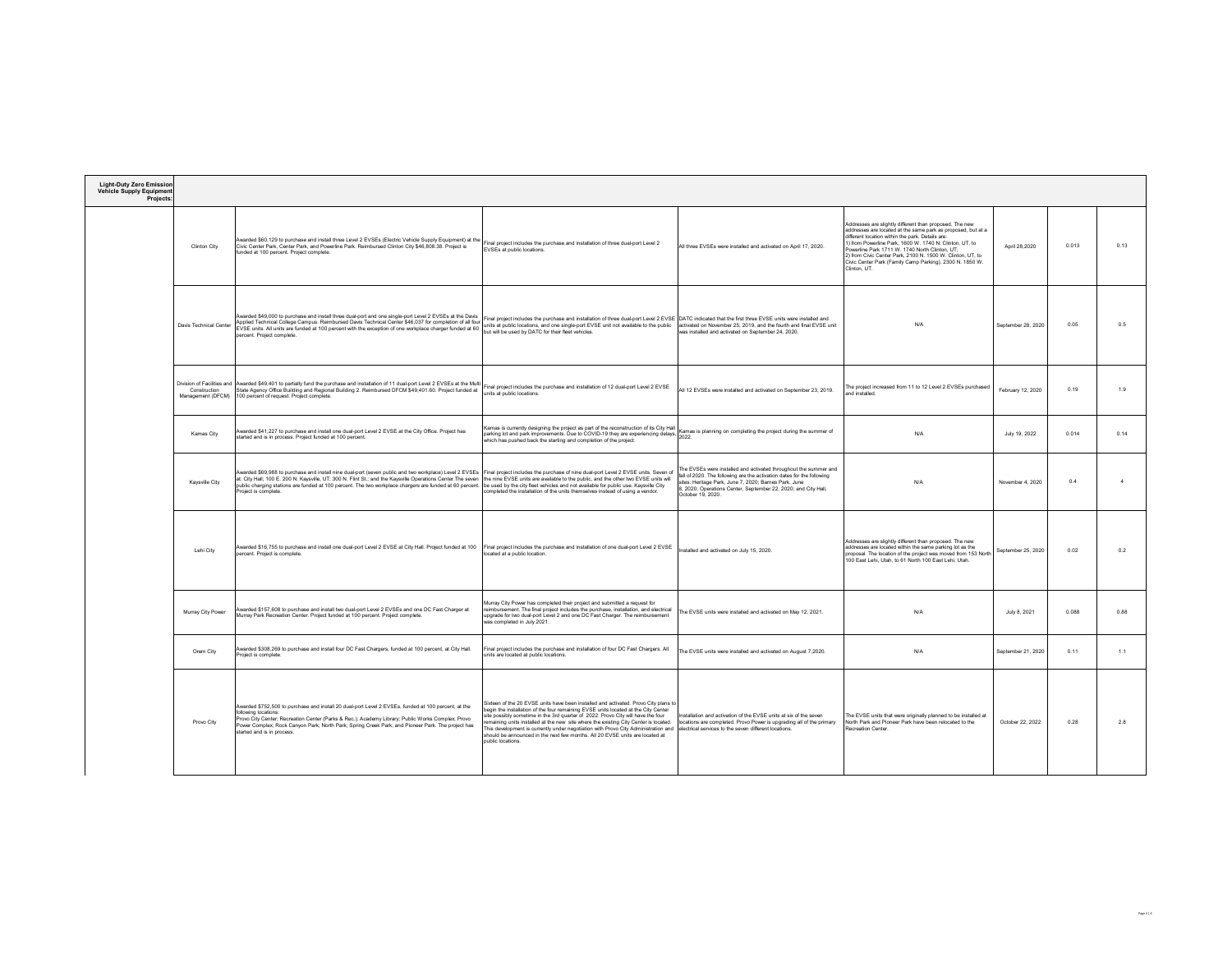| <b>Light-Duty Zero Emission</b><br><b>Vehicle Supply Equipment</b><br>Projects: |                                   |                                                                                                                                                                                                                                                                                                                                                                                                                                               |                                                                                                                                                                                                                                                                                                                                                                                                                                                                                                                                              |                                                                                                                                                                                                                                                                                            |                                                                                                                                                                                                                                                                                                                                                                                                                               |                    |       |                |
|---------------------------------------------------------------------------------|-----------------------------------|-----------------------------------------------------------------------------------------------------------------------------------------------------------------------------------------------------------------------------------------------------------------------------------------------------------------------------------------------------------------------------------------------------------------------------------------------|----------------------------------------------------------------------------------------------------------------------------------------------------------------------------------------------------------------------------------------------------------------------------------------------------------------------------------------------------------------------------------------------------------------------------------------------------------------------------------------------------------------------------------------------|--------------------------------------------------------------------------------------------------------------------------------------------------------------------------------------------------------------------------------------------------------------------------------------------|-------------------------------------------------------------------------------------------------------------------------------------------------------------------------------------------------------------------------------------------------------------------------------------------------------------------------------------------------------------------------------------------------------------------------------|--------------------|-------|----------------|
|                                                                                 | Clinton City                      | Awarded \$60,129 to purchase and install three Level 2 EVSEs (Electric Vehicle Supply Equipment) at the<br>Civic Center Park, Center Park, and Powerline Park. Reimbursed Clinton City \$46,808.38. Project is<br>unded at 100 percent. Project complete.                                                                                                                                                                                     | Final project includes the purchase and installation of three dual-port Level 2<br>EVSEs at public locations.                                                                                                                                                                                                                                                                                                                                                                                                                                | All three EVSEs were installed and activated on April 17, 2020.                                                                                                                                                                                                                            | Addresses are slightly different than proposed. The new<br>addresses are located at the same park as proposed, but at a<br>different location within the park. Details are:<br>1) from Powerline Park 1600 W 1740 N Clinton UT to<br>Powerline Park 1711 W. 1740 North Clinton, UT;<br>2) from Civic Center Park, 2100 N. 1500 W. Clinton, UT, to<br>Civic Center Park (Family Camp Parking), 2300 N. 1850 W.<br>Clinton, UT. | April 28,2020      | 0.013 | 0.13           |
|                                                                                 | Davis Technical Center            | Awarded \$49,000 to purchase and install three dual-port and one single-port Level 2 EVSEs at the Davis<br>Applied Technical College Campus. Reimbursed Davis Technical Center \$46,037 for completion of all four<br>EVSE units. All units are funded at 100 percent with the exception of one workplace charger funded at 60<br>percent. Project complete.                                                                                  | Final project includes the purchase and installation of three dual-port Level 2 EVSE DATC indicated that the first three EVSE units were installed and<br>units at public locations, and one single-port EVSE unit not available to the public activated on November 25, 2019, and the fourth and final EVSE unit<br>but will be used by DATC for their fleet vehicles.                                                                                                                                                                      | was installed and activated on September 24, 2020.                                                                                                                                                                                                                                         | N/A                                                                                                                                                                                                                                                                                                                                                                                                                           | September 28, 2020 | 0.05  | 0.5            |
|                                                                                 | Construction<br>Management (DFCM) | Division of Facilities and Awarded \$49,401 to partially fund the purchase and installation of 11 dual-port Level 2 EVSEs at the Multi<br>State Agency Office Building and Regional Building 2. Reimbursed DFCM \$49,401.60. Project funded at<br>100 percent of request. Project complete.                                                                                                                                                   | Final project includes the purchase and installation of 12 dual-port Level 2 EVSE<br>units at public locations.                                                                                                                                                                                                                                                                                                                                                                                                                              | All 12 EVSEs were installed and activated on September 23, 2019.                                                                                                                                                                                                                           | The project increased from 11 to 12 Level 2 EVSEs purchased<br>belleteni bne                                                                                                                                                                                                                                                                                                                                                  | February 12, 2020  | 0.19  | 1.9            |
|                                                                                 | Kamas City                        | Awarded \$41,227 to purchase and install one dual-port Level 2 EVSE at the City Office. Project has<br>started and is in process. Project funded at 100 percent.                                                                                                                                                                                                                                                                              | Kamas is currently designing the project as part of the reconstruction of its City Hall<br>parking lot and park improvements. Due to COVID-19 they are experiencing delays. 2022.<br>2022.<br>which has pushed back the starting and completion of the project.                                                                                                                                                                                                                                                                              |                                                                                                                                                                                                                                                                                            | N/A                                                                                                                                                                                                                                                                                                                                                                                                                           | July 19, 2022      | 0.014 | 0.14           |
|                                                                                 | Kavsville City                    | Awarded \$69,988 to purchase and install nine dual-port (seven public and two workplace) Level 2 EVSEs Final project includes the purchase of nine dual-port Level 2 EVSE units. Seven of<br>at: City Hall; 100 E. 200 N. Kaysville, UT; 300 N. Flint St.; and the Kaysville Operations Center. The seven<br>public charging stations are funded at 100 percent. The two workplace chargers are funded at 60 percent.<br>Project is complete. | the nine EVSE units are available to the public, and the other two EVSE units will<br>be used by the city fleet vehicles and not available for public use. Kaysville City<br>completed the installation of the units themselves instead of using a vendor.                                                                                                                                                                                                                                                                                   | The EVSEs were installed and activated throughout the summer and<br>fall of 2020. The following are the activation dates for the following<br>sites: Heritage Park, June 7, 2020; Barnes Park, June<br>8, 2020; Operations Center, September 22, 2020; and City Hall,<br>October 19, 2020. | N/A                                                                                                                                                                                                                                                                                                                                                                                                                           | November 4 2020    | 0.4   | $\overline{4}$ |
|                                                                                 | Lehi City                         | Awarded \$16,755 to purchase and install one dual-port Level 2 EVSE at City Hall. Project funded at 100<br>sercent. Project is complete.                                                                                                                                                                                                                                                                                                      | Final project includes the purchase and installation of one dual-port Level 2 EVSE<br>ocated at a public location.                                                                                                                                                                                                                                                                                                                                                                                                                           | nstalled and activated on July 15, 2020.                                                                                                                                                                                                                                                   | Addresses are slightly different than proposed. The new<br>addresses are located within the same parking lot as the<br>proposal. The location of the project was moved from 153 North<br>100 East Lehi, Utah, to 61 North 100 East Lehi, Utah.                                                                                                                                                                                | September 25, 2020 | 0.02  | 0.2            |
|                                                                                 | Murray City Power                 | Awarded \$157,608 to purchase and install two dual-port Level 2 EVSEs and one DC Fast Charger at<br>Murray Park Recreation Center. Project funded at 100 percent. Project complete.                                                                                                                                                                                                                                                           | Murray City Power has completed their project and submitted a request for<br>reimbursement. The final project includes the purchase, installation, and electrical<br>upgrade for two dual-port Level 2 and one DC Fast Charger. The reimbursement<br>was completed in July 2021.                                                                                                                                                                                                                                                             | The EVSE units were installed and activated on May 12, 2021.                                                                                                                                                                                                                               | N/A                                                                                                                                                                                                                                                                                                                                                                                                                           | July 8, 2021       | 0.088 | 0.88           |
|                                                                                 | Orem City                         | Awarded \$308,269 to purchase and install four DC Fast Chargers, funded at 100 percent, at City Hall.<br>Project is complete.                                                                                                                                                                                                                                                                                                                 | Final project includes the purchase and installation of four DC Fast Chargers. All<br>units are located at public locations.                                                                                                                                                                                                                                                                                                                                                                                                                 | The EVSE units were installed and activated on August 7.2020.                                                                                                                                                                                                                              | N/A                                                                                                                                                                                                                                                                                                                                                                                                                           | September 21, 2020 | 0.11  | 1.1            |
|                                                                                 | Provo City                        | Awarded \$752,500 to purchase and install 20 dual-port Level 2 EVSEs, funded at 100 percent, at the<br>following locations:<br>Provo Čity Center; Recreation Center (Parks & Rec.); Academy Library; Public Works Complex; Provo<br>Power Complex; Rock Canyon Park; North Park; Spring Creek Park; and Pioneer Park. The project has<br>started and is in process.                                                                           | Sixteen of the 20 EVSE units have been installed and activated. Provo City plans to<br>begin the installation of the four remaining EVSE units located at the City Center<br>ite possibly sometime in the 3rd quarter of 2022. Provo City will have the four<br>maining units installed at the new site where the existing City Center is located.<br>his development is currently under negotiation with Provo City Administration and<br>should be announced in the next few months. All 20 EVSE units are located at<br>public locations. | Installation and activation of the EVSE units at six of the seven<br>locations are completed. Provo Power is upgrading all of the primary<br>electrical services to the seven different locations.                                                                                         | The EVSE units that were originally planned to be installed at<br>North Park and Pioneer Park have been relocated to the<br><b>Recreation Center</b>                                                                                                                                                                                                                                                                          | October 22, 2022   | 0.28  | 2.8            |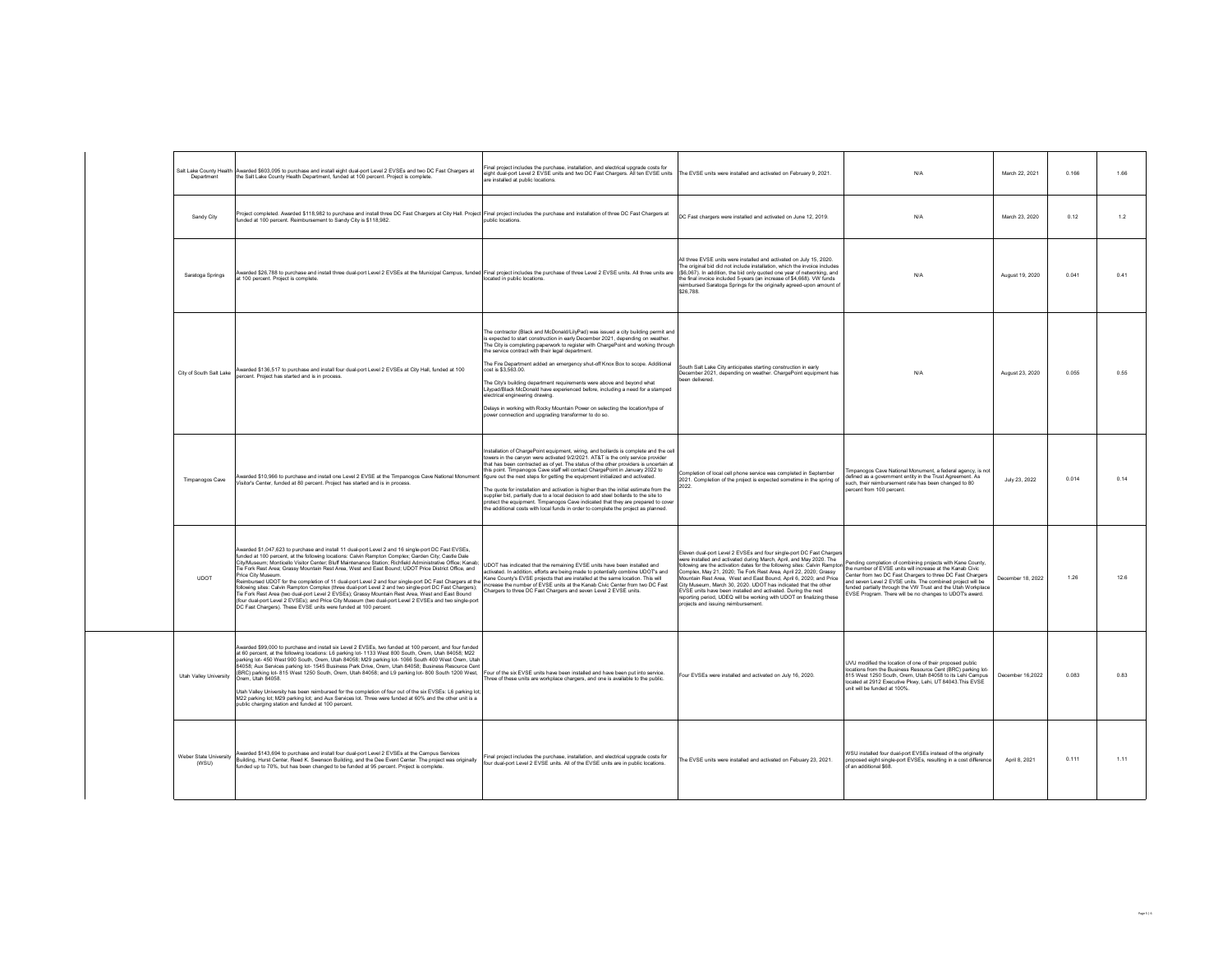| Salt Lake County Health<br>Department | Awarded \$603,095 to purchase and install eight dual-port Level 2 EVSEs and two DC Fast Chargers at<br>the Salt Lake County Health Department, funded at 100 percent. Project is complete                                                                                                                                                                                                                                                                                                                                                                                                                                                                                                                                                                                                                                                                                                                                                                  | inal project includes the purchase, installation, and electrical upgrade costs for<br>eight dual-port Level 2 EVSE units and two DC Fast Chargers. All ten EVSE units<br>are installed at nublic locations.                                                                                                                                                                                                                                                                                                                                                                                                                                                                                                                                                                                 | The EVSE units were installed and activated on February 9, 2021                                                                                                                                                                                                                                                                                                                                                                                                                                                                                                                                                   | N/A                                                                                                                                                                                                                                                                                                                                                                            | March 22, 2021   | 0.166 | 1.66  |
|---------------------------------------|------------------------------------------------------------------------------------------------------------------------------------------------------------------------------------------------------------------------------------------------------------------------------------------------------------------------------------------------------------------------------------------------------------------------------------------------------------------------------------------------------------------------------------------------------------------------------------------------------------------------------------------------------------------------------------------------------------------------------------------------------------------------------------------------------------------------------------------------------------------------------------------------------------------------------------------------------------|---------------------------------------------------------------------------------------------------------------------------------------------------------------------------------------------------------------------------------------------------------------------------------------------------------------------------------------------------------------------------------------------------------------------------------------------------------------------------------------------------------------------------------------------------------------------------------------------------------------------------------------------------------------------------------------------------------------------------------------------------------------------------------------------|-------------------------------------------------------------------------------------------------------------------------------------------------------------------------------------------------------------------------------------------------------------------------------------------------------------------------------------------------------------------------------------------------------------------------------------------------------------------------------------------------------------------------------------------------------------------------------------------------------------------|--------------------------------------------------------------------------------------------------------------------------------------------------------------------------------------------------------------------------------------------------------------------------------------------------------------------------------------------------------------------------------|------------------|-------|-------|
| Sandy City                            | Project completed. Awarded \$118,982 to purchase and install three DC Fast Chargers at City Hall. Project Final project includes the purchase and installation of three DC Fast Chargers at<br>funded at 100 percent. Reimbursement to Sandy City is \$118,982.                                                                                                                                                                                                                                                                                                                                                                                                                                                                                                                                                                                                                                                                                            | public locations.                                                                                                                                                                                                                                                                                                                                                                                                                                                                                                                                                                                                                                                                                                                                                                           | DC Fast chargers were installed and activated on June 12, 2019.                                                                                                                                                                                                                                                                                                                                                                                                                                                                                                                                                   | N/A                                                                                                                                                                                                                                                                                                                                                                            | March 23, 2020   | 0.12  | 1.2   |
| Saratoga Springs                      | warded \$26,788 to purchase and install three dual-port Level 2 EVSEs at the Municipal Campus, funded Final project includes the purchase of three Level 2 EVSE units. All three units are<br>at 100 percent. Project is complete                                                                                                                                                                                                                                                                                                                                                                                                                                                                                                                                                                                                                                                                                                                          | ocated in public locations                                                                                                                                                                                                                                                                                                                                                                                                                                                                                                                                                                                                                                                                                                                                                                  | All three EVSE units were installed and activated on July 15, 2020.<br>The original bid did not include installation, which the invoice includes<br>(\$6,067). In addition, the bid only quoted one year of networking, and<br>the final invoice included 5-years (an increase of \$4,668). VW funds<br>reimbursed Saratoga Springs for the originally agreed-upon amount of<br>\$26,788                                                                                                                                                                                                                          | N/A                                                                                                                                                                                                                                                                                                                                                                            | August 19, 2020  | 0.041 | 0.41  |
| City of South Salt Lake               | Awarded \$136,517 to purchase and install four dual-port Level 2 EVSEs at City Hall, funded at 100<br>percent. Project has started and is in process.                                                                                                                                                                                                                                                                                                                                                                                                                                                                                                                                                                                                                                                                                                                                                                                                      | The contractor (Black and McDonald/LilyPad) was issued a city building permit and<br>s expected to start construction in early December 2021, depending on weather.<br>The City is completing paperwork to register with ChargePoint and working through<br>the service contract with their legal department.<br>The Fire Department added an emergency shut-off Knox Box to scope. Additional<br>cost is \$3,563.00.<br>The City's building department requirements were above and beyond what<br>Lilypad/Black McDonald have experienced before, including a need for a stamped<br>electrical engineering drawing.<br>Delays in working with Rocky Mountain Power on selecting the location/type of<br>power connection and upgrading transformer to do so.                               | South Salt Lake City anticipates starting construction in early<br>December 2021, depending on weather. ChargePoint equipment has<br>en delivered                                                                                                                                                                                                                                                                                                                                                                                                                                                                 | N/A                                                                                                                                                                                                                                                                                                                                                                            | August 23, 2020  | 0.055 | 0.55  |
| Timpanogos Cave                       | warded \$10,966 to purchase and install one Level 2 EVSE at the Timpanogos Cave National Monument<br>Visitor's Center, funded at 80 percent. Project has started and is in process.                                                                                                                                                                                                                                                                                                                                                                                                                                                                                                                                                                                                                                                                                                                                                                        | nstallation of ChargePoint equipment, wiring, and bollards is complete and the cell<br>owers in the canyon were activated 9/2/2021. AT&T is the only service provider<br>that has been contracted as of yet. The status of the other providers is uncertain at<br>this point. Timpanogos Cave staff will contact ChargePoint in January 2022 to<br>figure out the next steps for getting the equipment initialized and activated.<br>The quote for installation and activation is higher than the initial estimate from the<br>supplier hid, partially due to a local decision to add steel bollards to the site to<br>protect the equipment. Timpanonos Cave indicated that they are prepared to cove<br>he additional costs with local funds in order to complete the project as planned. | Completion of local cell phone service was completed in September<br>2021. Completion of the project is expected sometime in the spring of<br>2022                                                                                                                                                                                                                                                                                                                                                                                                                                                                | limpanogos Cave National Monument, a federal agency, is not<br>defined as a government entity in the Trust Agreement. As<br>such, their reimbursement rate has been changed to 80<br>percent from 100 percent.                                                                                                                                                                 | July 23, 2022    | 0.014 | 0.14  |
| <b>UDOT</b>                           | Awarded \$1.047.623 to purchase and install 11 dual-port Level 2 and 16 single-port DC East EVSEs.<br>funded at 100 percent, at the following locations: Calvin Rampton Complex; Garden City; Castle Dale<br>City/Museum; Monticello Visitor Center; Bluff Maintenance Station; Richfield Administrative Office; Kanab;<br>Tie Fork Rest Area; Grassy Mountain Rest Area, West and East Bound; UDOT Price District Office, and<br>Price City Museum<br>Reimbursed UDOT for the completion of 11 dual-port Level 2 and four single-port DC Fast Chargers at the<br>following sites: Calvin Rampton Complex (three dual-port Level 2 and two single-port DC Fast Chargers);<br>Tie Fork Rest Area (two dual-port Level 2 EVSEs); Grassy Mountain Rest Area, West and East Bound<br>(four dual-port Level 2 EVSEs); and Price City Museum (two dual-port Level 2 EVSEs and two single-port<br>DC Fast Chargers). These EVSE units were funded at 100 percent. | UDOT has indicated that the remaining EVSE units have been installed and<br>activated. In addition, efforts are being made to potentially combine UDOT's and<br>Kane County's EVSE projects that are installed at the same location. This will<br>increase the number of EVSE units at the Kanab Civic Center from two DC Fast<br>Chargers to three DC Fast Chargers and seven Level 2 EVSE units.                                                                                                                                                                                                                                                                                                                                                                                          | Eleven dual-port Level 2 EVSEs and four single-port DC Fast Charger<br>were installed and activated during March, April, and May 2020. The<br>illowing are the activation dates for the following sites: Calvin Rampto<br>Complex, May 21, 2020; Tie Fork Rest Area, April 22, 2020; Grassy<br>Mountain Rest Area West and Fast Bound, April 6, 2020; and Price<br>City Museum, March 30, 2020. UDOT has indicated that the other<br>EVSE units have been installed and activated. During the next<br>reporting period, UDEQ will be working with UDOT on finalizing these<br>projects and issuing reimbursement. | Pending completion of combining projects with Kane County,<br>the number of EVSE units will increase at the Kanab Civic<br>Center from two DC Fast Chargers to three DC Fast Chargers<br>and seven Level 2 EVSE units. The combined project will be<br>funded partially through the VW Trust and the Utah Workplace<br>EVSE Program. There will be no changes to UDOT's award. | December 18 2022 | 1.26  | 12.6  |
| Utah Valley University                | Awarded \$99,000 to purchase and install six Level 2 EVSEs, two funded at 100 percent, and four funded<br>at 60 percent, at the following locations: L6 parking lot- 1133 West 800 South, Orem, Utah 84058; M22<br>parking lot- 450 West 900 South, Orem, Utah 84058; M29 parking lot- 1066 South 400 West Orem, Utal<br>84058; Aux Services parking lot- 1545 Business Park Drive, Orem, Utah 84058; Business Resource Cent<br>(BRC) parking lot- 815 West 1250 South, Orem, Utah 84058; and L9 parking lot- 800 South 1200 West,<br>Orem Utah 84058<br>Utah Valley University has been reimbursed for the completion of four out of the six EVSEs: L6 parking lot<br>M22 parking lot: M29 parking lot: and Aux Services lot. Three were funded at 60% and the other unit is a<br>public charging station and funded at 100 percent.                                                                                                                      | Four of the six EVSE units have been installed and have been put into service.<br>hree of these units are workplace chargers, and one is available to the public.                                                                                                                                                                                                                                                                                                                                                                                                                                                                                                                                                                                                                           | Four EVSEs were installed and activated on July 16, 2020.                                                                                                                                                                                                                                                                                                                                                                                                                                                                                                                                                         | UVU modified the location of one of their proposed public<br>locations from the Business Resource Cent (BRC) parking lot-<br>815 West 1250 South, Orem, Utah 84058 to its Lehi Campus<br>located at 2912 Executive Pkwy, Lehi, UT 84043. This EVSE<br>unit will be funded at 100%.                                                                                             | December 16,2022 | 0.083 | 0.83  |
| Weber State University<br>(WSU)       | Awarded \$143,694 to purchase and install four dual-port Level 2 EVSEs at the Campus Services<br>Building, Hurst Center, Reed K. Swenson Building, and the Dee Event Center. The project was originally<br>funded up to 70%, but has been changed to be funded at 95 percent. Project is complete                                                                                                                                                                                                                                                                                                                                                                                                                                                                                                                                                                                                                                                          | Final project includes the purchase, installation, and electrical upgrade costs for<br>four dual-port Level 2 EVSE units. All of the EVSE units are in public locations.                                                                                                                                                                                                                                                                                                                                                                                                                                                                                                                                                                                                                    | The EVSE units were installed and activated on Febuary 23, 2021.                                                                                                                                                                                                                                                                                                                                                                                                                                                                                                                                                  | WSU installed four dual-port EVSEs instead of the originally<br>proposed eight single-port EVSEs, resulting in a cost difference<br>of an additional \$68.                                                                                                                                                                                                                     | April 8, 2021    | 0.111 | 1 1 1 |